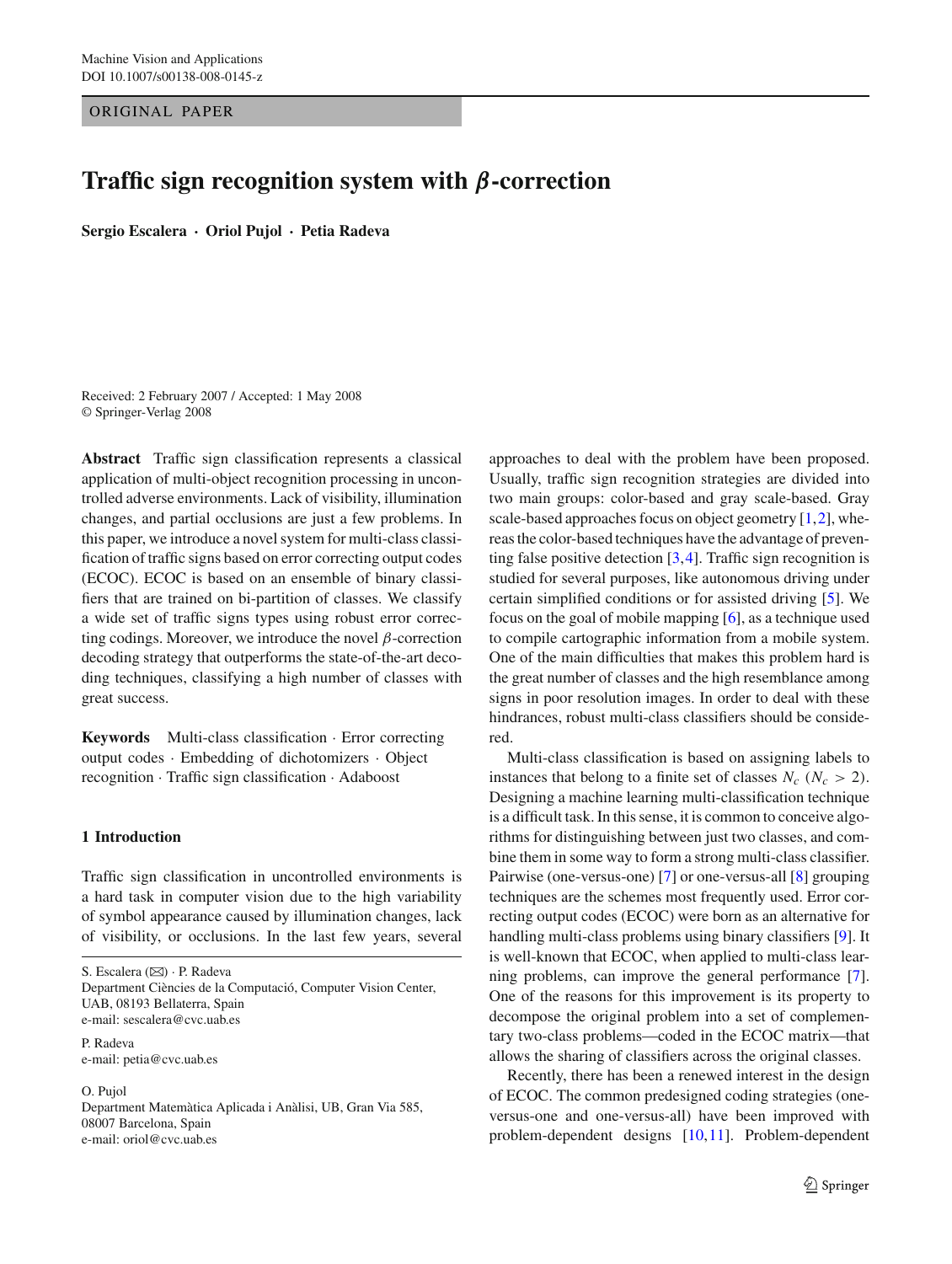ORIGINAL PAPER

# **Traffic sign recognition system with** *β***-correction**

**Sergio Escalera · Oriol Pujol · Petia Radeva**

Received: 2 February 2007 / Accepted: 1 May 2008 © Springer-Verlag 2008

**Abstract** Traffic sign classification represents a classical application of multi-object recognition processing in uncontrolled adverse environments. Lack of visibility, illumination changes, and partial occlusions are just a few problems. In this paper, we introduce a novel system for multi-class classification of traffic signs based on error correcting output codes (ECOC). ECOC is based on an ensemble of binary classifiers that are trained on bi-partition of classes. We classify a wide set of traffic signs types using robust error correcting codings. Moreover, we introduce the novel  $\beta$ -correction decoding strategy that outperforms the state-of-the-art decoding techniques, classifying a high number of classes with great success.

**Keywords** Multi-class classification · Error correcting output codes · Embedding of dichotomizers · Object recognition · Traffic sign classification · Adaboost

## **1 Introduction**

Traffic sign classification in uncontrolled environments is a hard task in computer vision due to the high variability of symbol appearance caused by illumination changes, lack of visibility, or occlusions. In the last few years, several

S. Escalera (⊠) · P. Radeva Department Ciències de la Computació, Computer Vision Center, UAB, 08193 Bellaterra, Spain

e-mail: sescalera@cvc.uab.es

P. Radeva e-mail: petia@cvc.uab.es

#### O. Pujol

Department Matemàtica Aplicada i Anàlisi, UB, Gran Via 585, 08007 Barcelona, Spain e-mail: oriol@cvc.uab.es

approaches to deal with the problem have been proposed. Usually, traffic sign recognition strategies are divided into two main groups: color-based and gray scale-based. Gray scale-based approaches focus on object geometry  $[1,2]$  $[1,2]$ , whereas the color-based techniques have the advantage of preventing false positive detection  $[3,4]$  $[3,4]$ . Traffic sign recognition is studied for several purposes, like autonomous driving under certain simplified conditions or for assisted driving [\[5\]](#page-11-4). We focus on the goal of mobile mapping [\[6\]](#page-11-5), as a technique used to compile cartographic information from a mobile system. One of the main difficulties that makes this problem hard is the great number of classes and the high resemblance among signs in poor resolution images. In order to deal with these hindrances, robust multi-class classifiers should be considered.

Multi-class classification is based on assigning labels to instances that belong to a finite set of classes  $N_c$  ( $N_c > 2$ ). Designing a machine learning multi-classification technique is a difficult task. In this sense, it is common to conceive algorithms for distinguishing between just two classes, and combine them in some way to form a strong multi-class classifier. Pairwise (one-versus-one) [\[7](#page-11-6)] or one-versus-all [\[8\]](#page-11-7) grouping techniques are the schemes most frequently used. Error correcting output codes (ECOC) were born as an alternative for handling multi-class problems using binary classifiers [\[9](#page-11-8)]. It is well-known that ECOC, when applied to multi-class learning problems, can improve the general performance [\[7](#page-11-6)]. One of the reasons for this improvement is its property to decompose the original problem into a set of complementary two-class problems—coded in the ECOC matrix—that allows the sharing of classifiers across the original classes.

Recently, there has been a renewed interest in the design of ECOC. The common predesigned coding strategies (oneversus-one and one-versus-all) have been improved with problem-dependent designs [\[10](#page-11-9),[11\]](#page-11-10). Problem-dependent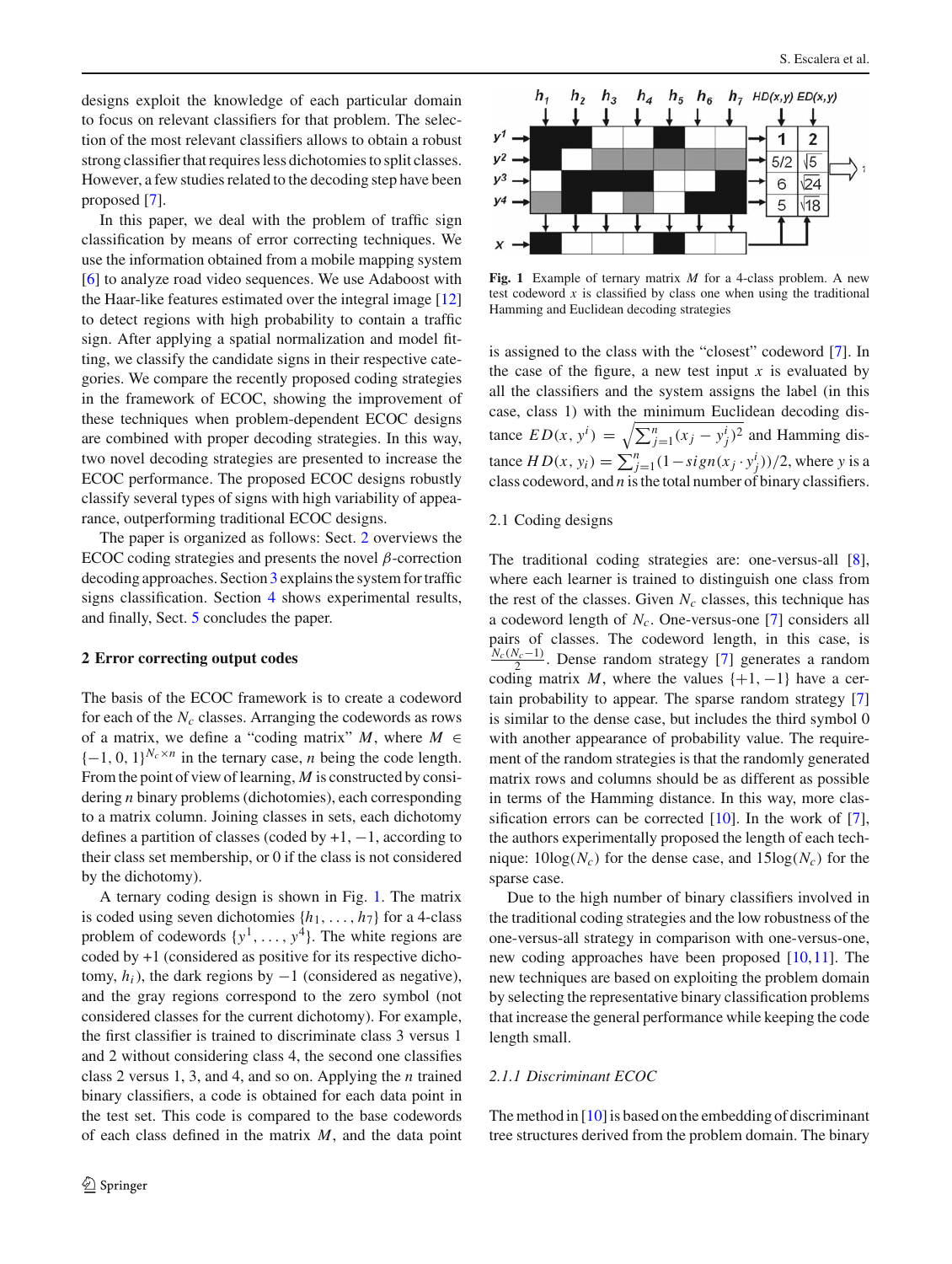designs exploit the knowledge of each particular domain to focus on relevant classifiers for that problem. The selection of the most relevant classifiers allows to obtain a robust strong classifier that requires less dichotomies to split classes. However, a few studies related to the decoding step have been proposed [\[7](#page-11-6)].

In this paper, we deal with the problem of traffic sign classification by means of error correcting techniques. We use the information obtained from a mobile mapping system [\[6](#page-11-5)] to analyze road video sequences. We use Adaboost with the Haar-like features estimated over the integral image [\[12\]](#page-11-11) to detect regions with high probability to contain a traffic sign. After applying a spatial normalization and model fitting, we classify the candidate signs in their respective categories. We compare the recently proposed coding strategies in the framework of ECOC, showing the improvement of these techniques when problem-dependent ECOC designs are combined with proper decoding strategies. In this way, two novel decoding strategies are presented to increase the ECOC performance. The proposed ECOC designs robustly classify several types of signs with high variability of appearance, outperforming traditional ECOC designs.

The paper is organized as follows: Sect. [2](#page-1-0) overviews the ECOC coding strategies and presents the novel  $\beta$ -correction decoding approaches. Section [3](#page-3-0) explains the system for traffic signs classification. Section [4](#page-5-0) shows experimental results, and finally, Sect. [5](#page-11-12) concludes the paper.

## <span id="page-1-0"></span>**2 Error correcting output codes**

The basis of the ECOC framework is to create a codeword for each of the  $N_c$  classes. Arranging the codewords as rows of a matrix, we define a "coding matrix"  $M$ , where  $M \in$  ${-1, 0, 1}^{N_c \times n}$  in the ternary case, *n* being the code length. From the point of view of learning, *M* is constructed by considering *n* binary problems (dichotomies), each corresponding to a matrix column. Joining classes in sets, each dichotomy defines a partition of classes (coded by  $+1$ ,  $-1$ , according to their class set membership, or 0 if the class is not considered by the dichotomy).

A ternary coding design is shown in Fig. [1.](#page-1-1) The matrix is coded using seven dichotomies  $\{h_1, \ldots, h_7\}$  for a 4-class problem of codewords  $\{y^1, \ldots, y^4\}$ . The white regions are coded by +1 (considered as positive for its respective dichotomy,  $h_i$ ), the dark regions by  $-1$  (considered as negative), and the gray regions correspond to the zero symbol (not considered classes for the current dichotomy). For example, the first classifier is trained to discriminate class 3 versus 1 and 2 without considering class 4, the second one classifies class 2 versus 1, 3, and 4, and so on. Applying the *n* trained binary classifiers, a code is obtained for each data point in the test set. This code is compared to the base codewords of each class defined in the matrix *M*, and the data point



<span id="page-1-1"></span>**Fig. 1** Example of ternary matrix *M* for a 4-class problem. A new test codeword  $x$  is classified by class one when using the traditional Hamming and Euclidean decoding strategies

is assigned to the class with the "closest" codeword [\[7](#page-11-6)]. In the case of the figure, a new test input  $x$  is evaluated by all the classifiers and the system assigns the label (in this case, class 1) with the minimum Euclidean decoding distance  $ED(x, y^i) = \sqrt{\sum_{j=1}^n (x_j - y_j^i)^2}$  and Hamming dis $t = H D(x, y_i) = \sum_{j=1}^{n} (1 - sign(x_j \cdot y_j^i))/2$ , where *y* is a class codeword, and *n* is the total number of binary classifiers.

#### 2.1 Coding designs

The traditional coding strategies are: one-versus-all [\[8](#page-11-7)], where each learner is trained to distinguish one class from the rest of the classes. Given  $N_c$  classes, this technique has a codeword length of *Nc*. One-versus-one [\[7\]](#page-11-6) considers all pairs of classes. The codeword length, in this case, is *Nc*(*Nc*−1) <sup>2</sup> . Dense random strategy [\[7\]](#page-11-6) generates a random coding matrix *M*, where the values  $\{+1, -1\}$  have a certain probability to appear. The sparse random strategy [\[7\]](#page-11-6) is similar to the dense case, but includes the third symbol 0 with another appearance of probability value. The requirement of the random strategies is that the randomly generated matrix rows and columns should be as different as possible in terms of the Hamming distance. In this way, more classification errors can be corrected  $[10]$  $[10]$ . In the work of  $[7]$  $[7]$ , the authors experimentally proposed the length of each technique:  $10\log(N_c)$  for the dense case, and  $15\log(N_c)$  for the sparse case.

Due to the high number of binary classifiers involved in the traditional coding strategies and the low robustness of the one-versus-all strategy in comparison with one-versus-one, new coding approaches have been proposed [\[10,](#page-11-9)[11\]](#page-11-10). The new techniques are based on exploiting the problem domain by selecting the representative binary classification problems that increase the general performance while keeping the code length small.

## *2.1.1 Discriminant ECOC*

The method in  $[10]$  is based on the embedding of discriminant tree structures derived from the problem domain. The binary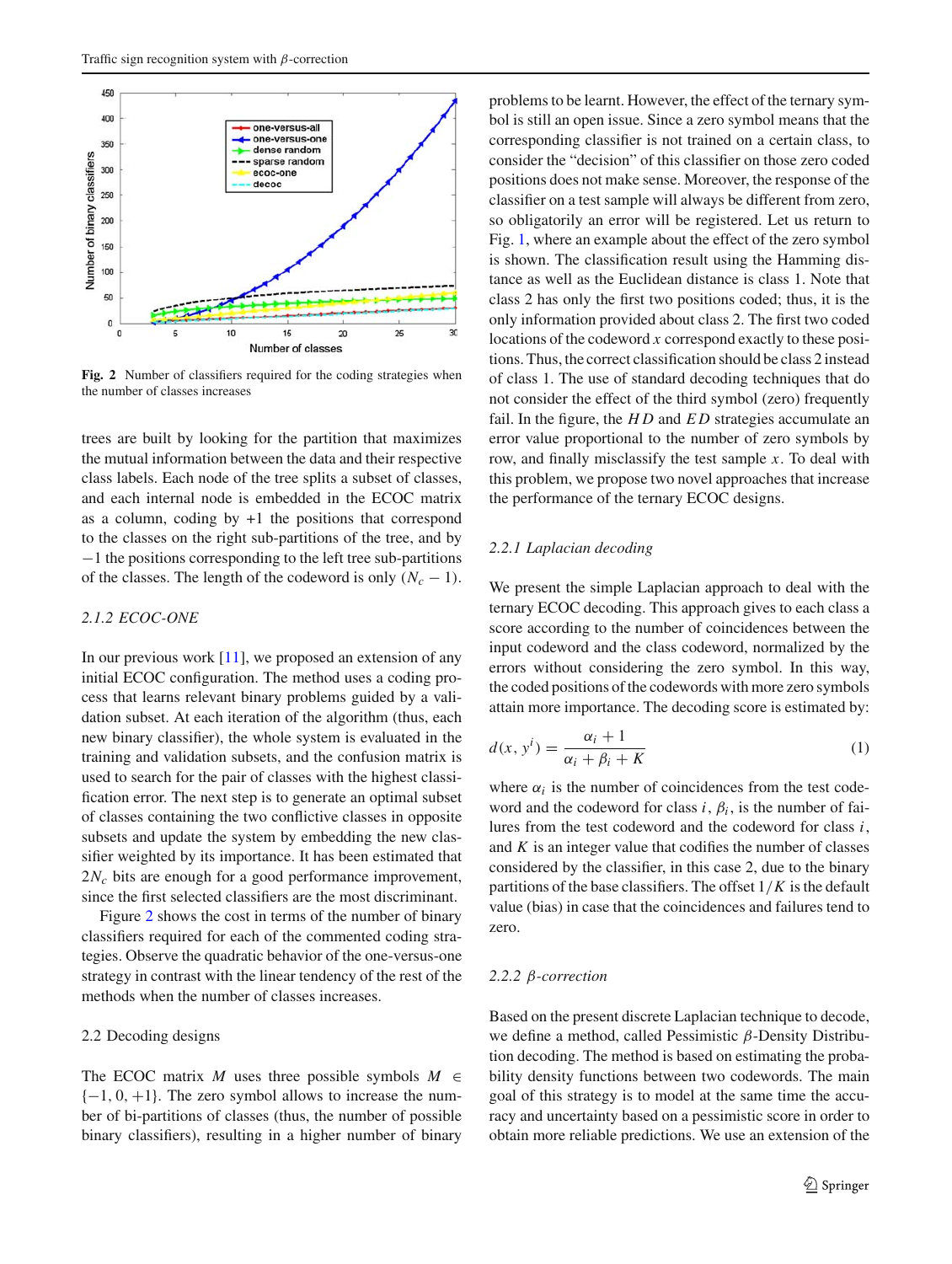

<span id="page-2-0"></span>**Fig. 2** Number of classifiers required for the coding strategies when the number of classes increases

trees are built by looking for the partition that maximizes the mutual information between the data and their respective class labels. Each node of the tree splits a subset of classes, and each internal node is embedded in the ECOC matrix as a column, coding by  $+1$  the positions that correspond to the classes on the right sub-partitions of the tree, and by −1 the positions corresponding to the left tree sub-partitions of the classes. The length of the codeword is only  $(N_c - 1)$ .

## *2.1.2 ECOC-ONE*

In our previous work [\[11](#page-11-10)], we proposed an extension of any initial ECOC configuration. The method uses a coding process that learns relevant binary problems guided by a validation subset. At each iteration of the algorithm (thus, each new binary classifier), the whole system is evaluated in the training and validation subsets, and the confusion matrix is used to search for the pair of classes with the highest classification error. The next step is to generate an optimal subset of classes containing the two conflictive classes in opposite subsets and update the system by embedding the new classifier weighted by its importance. It has been estimated that 2*Nc* bits are enough for a good performance improvement, since the first selected classifiers are the most discriminant.

Figure [2](#page-2-0) shows the cost in terms of the number of binary classifiers required for each of the commented coding strategies. Observe the quadratic behavior of the one-versus-one strategy in contrast with the linear tendency of the rest of the methods when the number of classes increases.

## 2.2 Decoding designs

The ECOC matrix *M* uses three possible symbols  $M \in$  $\{-1, 0, +1\}$ . The zero symbol allows to increase the number of bi-partitions of classes (thus, the number of possible binary classifiers), resulting in a higher number of binary problems to be learnt. However, the effect of the ternary symbol is still an open issue. Since a zero symbol means that the corresponding classifier is not trained on a certain class, to consider the "decision" of this classifier on those zero coded positions does not make sense. Moreover, the response of the classifier on a test sample will always be different from zero, so obligatorily an error will be registered. Let us return to Fig. [1,](#page-1-1) where an example about the effect of the zero symbol is shown. The classification result using the Hamming distance as well as the Euclidean distance is class 1. Note that class 2 has only the first two positions coded; thus, it is the only information provided about class 2. The first two coded locations of the codeword *x* correspond exactly to these positions. Thus, the correct classification should be class 2 instead of class 1. The use of standard decoding techniques that do not consider the effect of the third symbol (zero) frequently fail. In the figure, the *H D* and *E D* strategies accumulate an error value proportional to the number of zero symbols by row, and finally misclassify the test sample *x*. To deal with this problem, we propose two novel approaches that increase the performance of the ternary ECOC designs.

## *2.2.1 Laplacian decoding*

We present the simple Laplacian approach to deal with the ternary ECOC decoding. This approach gives to each class a score according to the number of coincidences between the input codeword and the class codeword, normalized by the errors without considering the zero symbol. In this way, the coded positions of the codewords with more zero symbols attain more importance. The decoding score is estimated by:

<span id="page-2-1"></span>
$$
d(x, yi) = \frac{\alpha_i + 1}{\alpha_i + \beta_i + K}
$$
 (1)

where  $\alpha_i$  is the number of coincidences from the test codeword and the codeword for class *i*,  $\beta_i$ , is the number of failures from the test codeword and the codeword for class *i*, and  $K$  is an integer value that codifies the number of classes considered by the classifier, in this case 2, due to the binary partitions of the base classifiers. The offset 1/*K* is the default value (bias) in case that the coincidences and failures tend to zero.

#### *2.2.2* β*-correction*

Based on the present discrete Laplacian technique to decode, we define a method, called Pessimistic β-Density Distribution decoding. The method is based on estimating the probability density functions between two codewords. The main goal of this strategy is to model at the same time the accuracy and uncertainty based on a pessimistic score in order to obtain more reliable predictions. We use an extension of the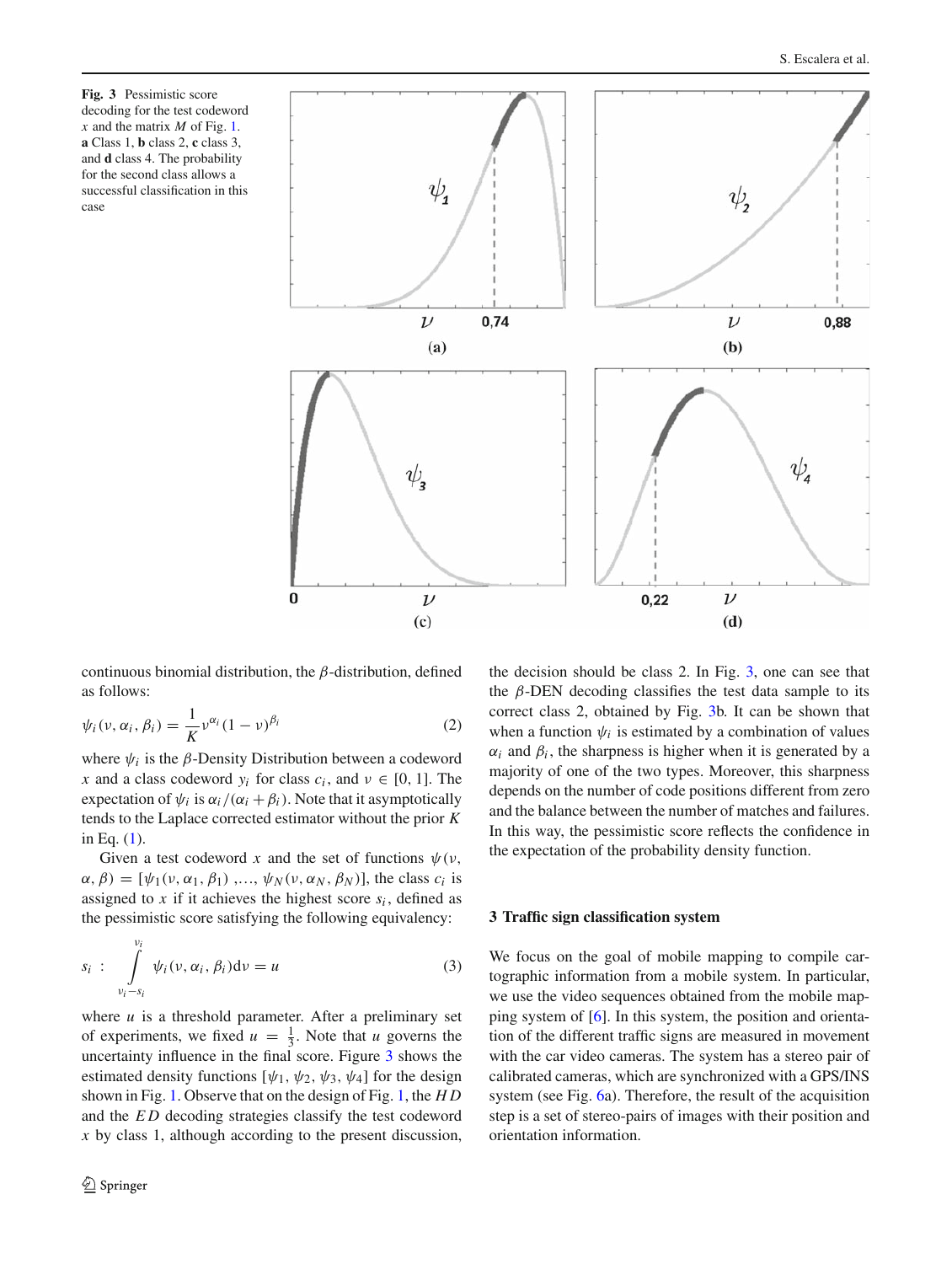<span id="page-3-1"></span>**Fig. 3** Pessimistic score decoding for the test codeword *x* and the matrix *M* of Fig. [1.](#page-1-1) **a** Class 1, **b** class 2, **c** class 3, and **d** class 4. The probability for the second class allows a successful classification in this case



continuous binomial distribution, the  $\beta$ -distribution, defined as follows:

$$
\psi_i(\nu,\alpha_i,\beta_i) = \frac{1}{K} \nu^{\alpha_i} (1-\nu)^{\beta_i}
$$
 (2)

where  $\psi_i$  is the  $\beta$ -Density Distribution between a codeword *x* and a class codeword  $y_i$  for class  $c_i$ , and  $v \in [0, 1]$ . The expectation of  $\psi_i$  is  $\alpha_i/(\alpha_i + \beta_i)$ . Note that it asymptotically tends to the Laplace corrected estimator without the prior *K* in Eq. [\(1\)](#page-2-1).

Given a test codeword x and the set of functions  $\psi(\nu)$ ,  $\alpha$ ,  $\beta$ ) = [ $\psi_1(\nu, \alpha_1, \beta_1)$ ,...,  $\psi_N(\nu, \alpha_N, \beta_N)$ ], the class  $c_i$  is assigned to  $x$  if it achieves the highest score  $s_i$ , defined as the pessimistic score satisfying the following equivalency:

$$
s_i: \int\limits_{\nu_i - s_i}^{\nu_i} \psi_i(\nu, \alpha_i, \beta_i) d\nu = u \tag{3}
$$

where *u* is a threshold parameter. After a preliminary set of experiments, we fixed  $u = \frac{1}{3}$ . Note that *u* governs the uncertainty influence in the final score. Figure [3](#page-3-1) shows the estimated density functions  $[\psi_1, \psi_2, \psi_3, \psi_4]$  for the design shown in Fig. [1.](#page-1-1) Observe that on the design of Fig. [1,](#page-1-1) the *H D* and the *E D* decoding strategies classify the test codeword *x* by class 1, although according to the present discussion, the decision should be class 2. In Fig. [3,](#page-3-1) one can see that the  $\beta$ -DEN decoding classifies the test data sample to its correct class 2, obtained by Fig. [3b](#page-3-1). It can be shown that when a function  $\psi_i$  is estimated by a combination of values  $\alpha_i$  and  $\beta_i$ , the sharpness is higher when it is generated by a majority of one of the two types. Moreover, this sharpness depends on the number of code positions different from zero and the balance between the number of matches and failures. In this way, the pessimistic score reflects the confidence in the expectation of the probability density function.

#### <span id="page-3-0"></span>**3 Traffic sign classification system**

We focus on the goal of mobile mapping to compile cartographic information from a mobile system. In particular, we use the video sequences obtained from the mobile mapping system of [\[6](#page-11-5)]. In this system, the position and orientation of the different traffic signs are measured in movement with the car video cameras. The system has a stereo pair of calibrated cameras, which are synchronized with a GPS/INS system (see Fig. [6a](#page-5-1)). Therefore, the result of the acquisition step is a set of stereo-pairs of images with their position and orientation information.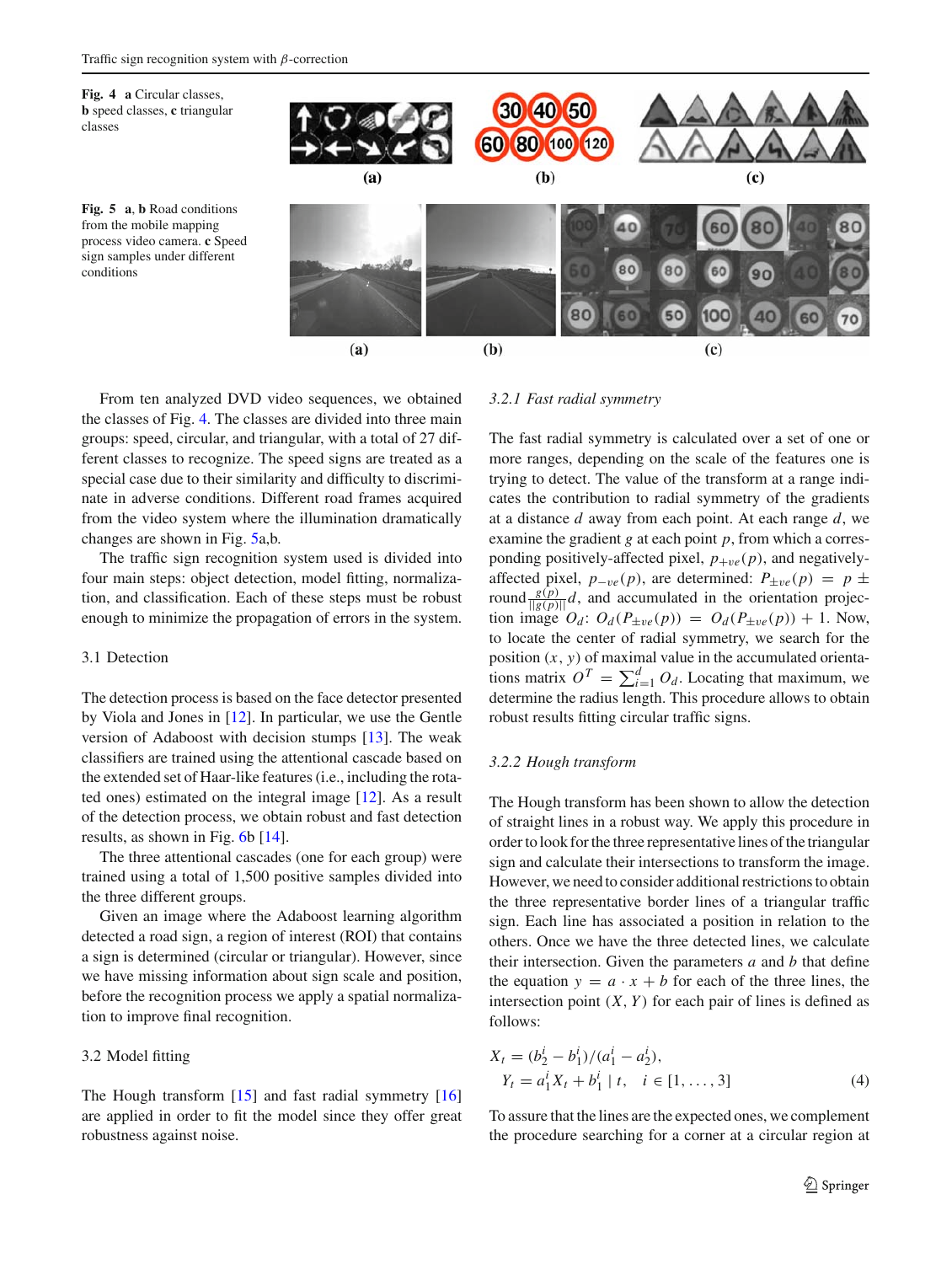<span id="page-4-1"></span><span id="page-4-0"></span>

From ten analyzed DVD video sequences, we obtained the classes of Fig. [4.](#page-4-0) The classes are divided into three main groups: speed, circular, and triangular, with a total of 27 different classes to recognize. The speed signs are treated as a special case due to their similarity and difficulty to discriminate in adverse conditions. Different road frames acquired from the video system where the illumination dramatically changes are shown in Fig. [5a](#page-4-1),b.

The traffic sign recognition system used is divided into four main steps: object detection, model fitting, normalization, and classification. Each of these steps must be robust enough to minimize the propagation of errors in the system.

## 3.1 Detection

The detection process is based on the face detector presented by Viola and Jones in [\[12](#page-11-11)]. In particular, we use the Gentle version of Adaboost with decision stumps [\[13\]](#page-11-13). The weak classifiers are trained using the attentional cascade based on the extended set of Haar-like features (i.e., including the rotated ones) estimated on the integral image [\[12\]](#page-11-11). As a result of the detection process, we obtain robust and fast detection results, as shown in Fig. [6b](#page-5-1) [\[14](#page-11-14)].

The three attentional cascades (one for each group) were trained using a total of 1,500 positive samples divided into the three different groups.

Given an image where the Adaboost learning algorithm detected a road sign, a region of interest (ROI) that contains a sign is determined (circular or triangular). However, since we have missing information about sign scale and position, before the recognition process we apply a spatial normalization to improve final recognition.

## 3.2 Model fitting

The Hough transform [\[15\]](#page-11-15) and fast radial symmetry [\[16\]](#page-11-16) are applied in order to fit the model since they offer great robustness against noise.

#### *3.2.1 Fast radial symmetry*

The fast radial symmetry is calculated over a set of one or more ranges, depending on the scale of the features one is trying to detect. The value of the transform at a range indicates the contribution to radial symmetry of the gradients at a distance *d* away from each point. At each range *d*, we examine the gradient *g* at each point *p*, from which a corresponding positively-affected pixel,  $p_{+ve}(p)$ , and negativelyaffected pixel,  $p_{-ve}(p)$ , are determined:  $P_{\pm ve}(p) = p \pm$ round  $\frac{g(p)}{\|g(p)\|}d$ , and accumulated in the orientation projection image  $O_d$ :  $O_d(P_{\pm ve}(p)) = O_d(P_{\pm ve}(p)) + 1$ . Now, to locate the center of radial symmetry, we search for the position (*x*, *y*) of maximal value in the accumulated orientations matrix  $O^T = \sum_{i=1}^d O_d$ . Locating that maximum, we determine the radius length. This procedure allows to obtain robust results fitting circular traffic signs.

#### *3.2.2 Hough transform*

The Hough transform has been shown to allow the detection of straight lines in a robust way. We apply this procedure in order to look for the three representative lines of the triangular sign and calculate their intersections to transform the image. However, we need to consider additional restrictions to obtain the three representative border lines of a triangular traffic sign. Each line has associated a position in relation to the others. Once we have the three detected lines, we calculate their intersection. Given the parameters *a* and *b* that define the equation  $y = a \cdot x + b$  for each of the three lines, the intersection point  $(X, Y)$  for each pair of lines is defined as follows:

$$
X_{t} = (b_{2}^{i} - b_{1}^{i})/(a_{1}^{i} - a_{2}^{i}),
$$
  
\n
$$
Y_{t} = a_{1}^{i} X_{t} + b_{1}^{i} | t, \quad i \in [1, ..., 3]
$$
\n(4)

To assure that the lines are the expected ones, we complement the procedure searching for a corner at a circular region at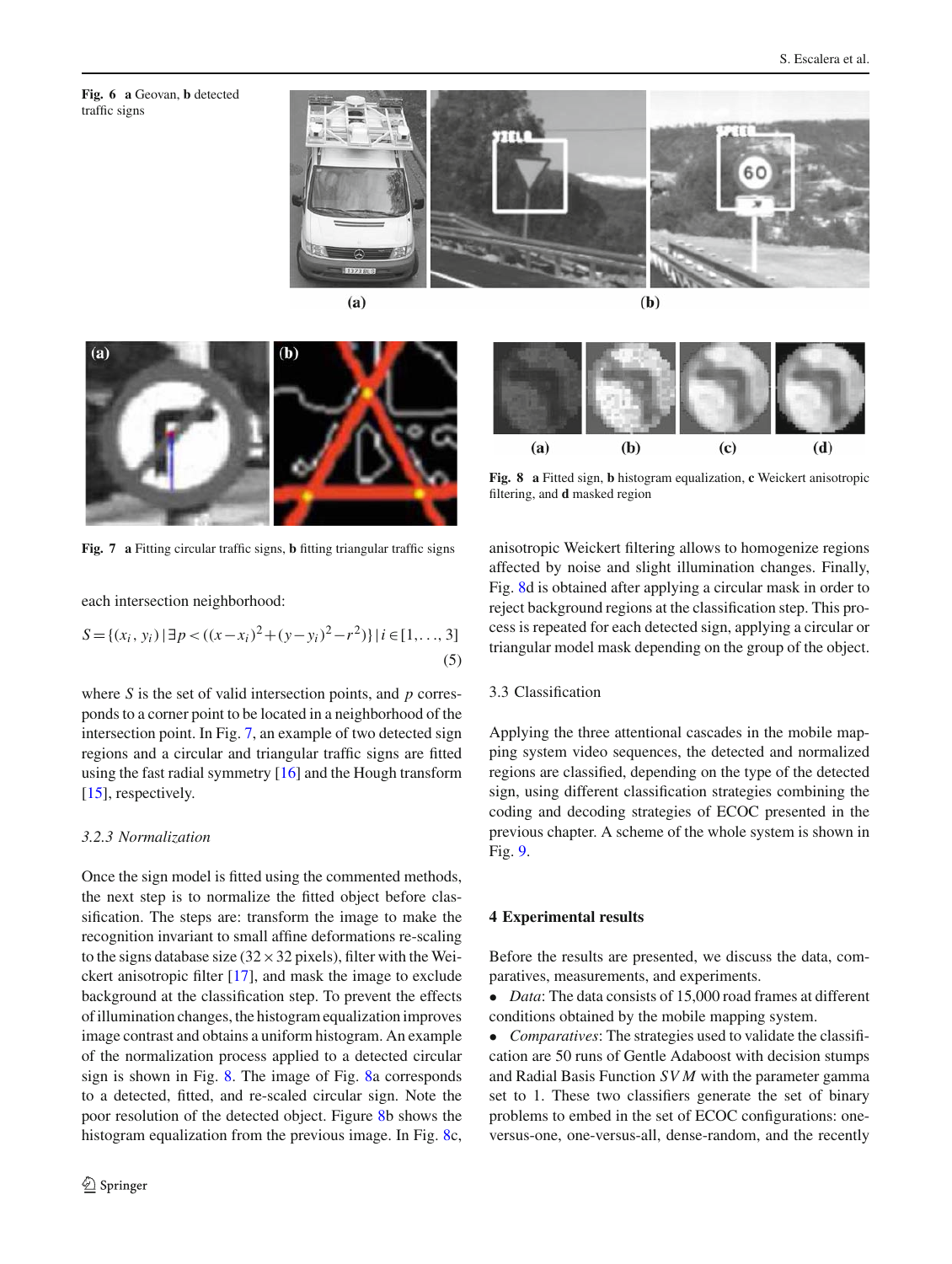<span id="page-5-1"></span>**Fig. 6 a** Geovan, **b** detected traffic signs





**Fig. 7 a** Fitting circular traffic signs, **b** fitting triangular traffic signs

<span id="page-5-2"></span>each intersection neighborhood:

$$
S = \{(x_i, y_i) | \exists p < ((x - x_i)^2 + (y - y_i)^2 - r^2)\} | i \in [1, ..., 3]
$$
\n(5)

where *S* is the set of valid intersection points, and *p* corresponds to a corner point to be located in a neighborhood of the intersection point. In Fig. [7,](#page-5-2) an example of two detected sign regions and a circular and triangular traffic signs are fitted using the fast radial symmetry [\[16](#page-11-16)] and the Hough transform [\[15](#page-11-15)], respectively.

### *3.2.3 Normalization*

Once the sign model is fitted using the commented methods, the next step is to normalize the fitted object before classification. The steps are: transform the image to make the recognition invariant to small affine deformations re-scaling to the signs database size ( $32 \times 32$  pixels), filter with the Weickert anisotropic filter [\[17\]](#page-11-17), and mask the image to exclude background at the classification step. To prevent the effects of illumination changes, the histogram equalization improves image contrast and obtains a uniform histogram. An example of the normalization process applied to a detected circular sign is shown in Fig. [8.](#page-5-3) The image of Fig. [8a](#page-5-3) corresponds to a detected, fitted, and re-scaled circular sign. Note the poor resolution of the detected object. Figure [8b](#page-5-3) shows the histogram equalization from the previous image. In Fig. [8c](#page-5-3),

 $(b)$  $(d)$  $(a)$  $(c)$ 

<span id="page-5-3"></span>**Fig. 8 a** Fitted sign, **b** histogram equalization, **c** Weickert anisotropic filtering, and **d** masked region

anisotropic Weickert filtering allows to homogenize regions affected by noise and slight illumination changes. Finally, Fig. [8d](#page-5-3) is obtained after applying a circular mask in order to reject background regions at the classification step. This process is repeated for each detected sign, applying a circular or triangular model mask depending on the group of the object.

## 3.3 Classification

Applying the three attentional cascades in the mobile mapping system video sequences, the detected and normalized regions are classified, depending on the type of the detected sign, using different classification strategies combining the coding and decoding strategies of ECOC presented in the previous chapter. A scheme of the whole system is shown in Fig. [9.](#page-6-0)

### <span id="page-5-0"></span>**4 Experimental results**

Before the results are presented, we discuss the data, comparatives, measurements, and experiments.

• *Data*: The data consists of 15,000 road frames at different conditions obtained by the mobile mapping system.

• *Comparatives*: The strategies used to validate the classification are 50 runs of Gentle Adaboost with decision stumps and Radial Basis Function *SV M* with the parameter gamma set to 1. These two classifiers generate the set of binary problems to embed in the set of ECOC configurations: oneversus-one, one-versus-all, dense-random, and the recently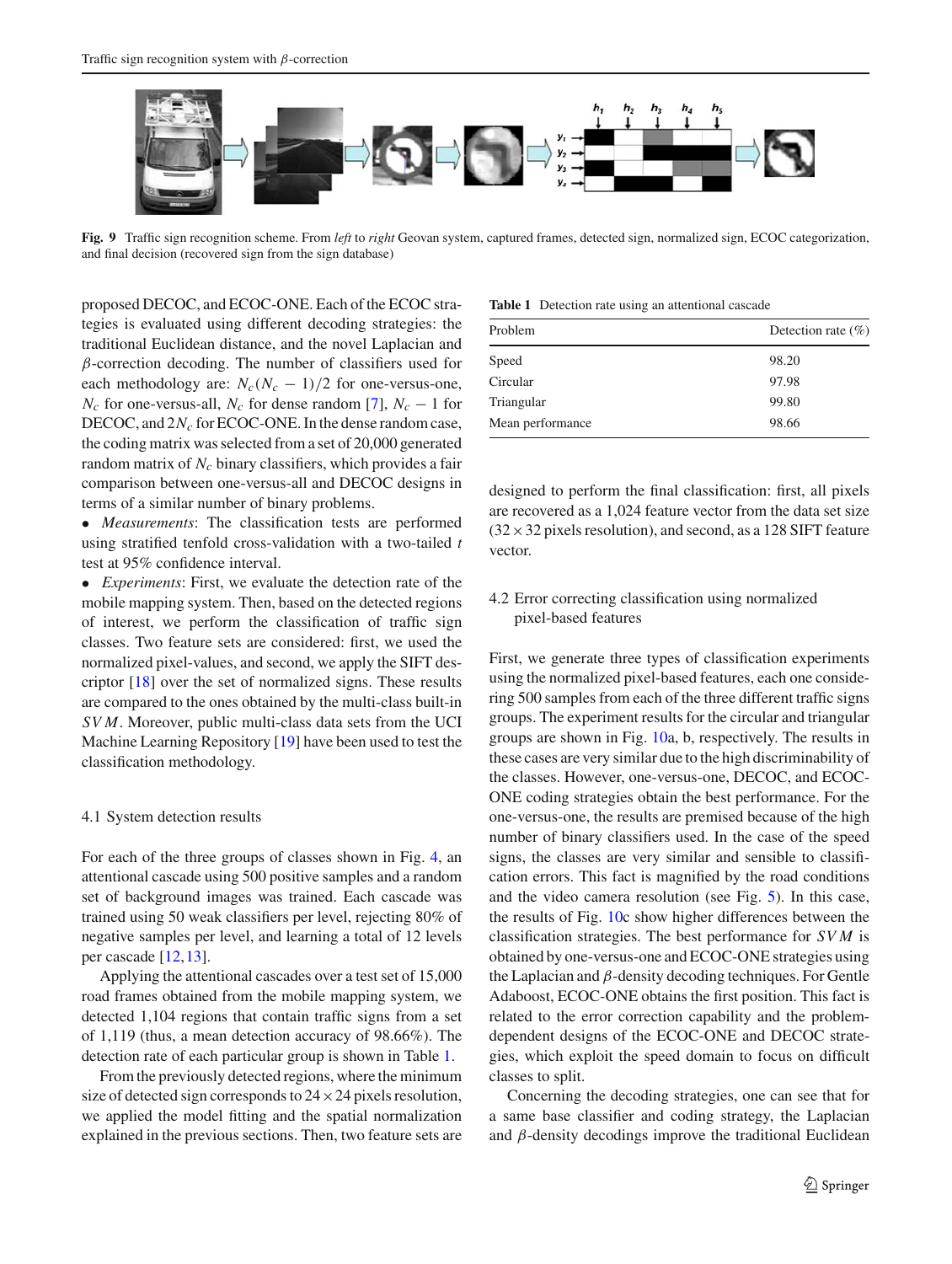

<span id="page-6-0"></span>**Fig. 9** Traffic sign recognition scheme. From *left* to *right* Geovan system, captured frames, detected sign, normalized sign, ECOC categorization, and final decision (recovered sign from the sign database)

proposed DECOC, and ECOC-ONE. Each of the ECOC strategies is evaluated using different decoding strategies: the traditional Euclidean distance, and the novel Laplacian and  $\beta$ -correction decoding. The number of classifiers used for each methodology are:  $N_c(N_c - 1)/2$  for one-versus-one, *N<sub>c</sub>* for one-versus-all, *N<sub>c</sub>* for dense random [\[7](#page-11-6)],  $N_c - 1$  for DECOC, and  $2N_c$  for ECOC-ONE. In the dense random case, the coding matrix was selected from a set of 20,000 generated random matrix of *N<sub>c</sub>* binary classifiers, which provides a fair comparison between one-versus-all and DECOC designs in terms of a similar number of binary problems.

• *Measurements*: The classification tests are performed using stratified tenfold cross-validation with a two-tailed *t* test at 95% confidence interval.

• *Experiments*: First, we evaluate the detection rate of the mobile mapping system. Then, based on the detected regions of interest, we perform the classification of traffic sign classes. Two feature sets are considered: first, we used the normalized pixel-values, and second, we apply the SIFT descriptor [\[18](#page-11-18)] over the set of normalized signs. These results are compared to the ones obtained by the multi-class built-in *SV M*. Moreover, public multi-class data sets from the UCI Machine Learning Repository [\[19\]](#page-11-19) have been used to test the classification methodology.

## 4.1 System detection results

For each of the three groups of classes shown in Fig. [4,](#page-4-0) an attentional cascade using 500 positive samples and a random set of background images was trained. Each cascade was trained using 50 weak classifiers per level, rejecting 80% of negative samples per level, and learning a total of 12 levels per cascade [\[12](#page-11-11)[,13](#page-11-13)].

Applying the attentional cascades over a test set of 15,000 road frames obtained from the mobile mapping system, we detected 1,104 regions that contain traffic signs from a set of 1,119 (thus, a mean detection accuracy of 98.66%). The detection rate of each particular group is shown in Table [1.](#page-6-1)

From the previously detected regions, where the minimum size of detected sign corresponds to  $24 \times 24$  pixels resolution, we applied the model fitting and the spatial normalization explained in the previous sections. Then, two feature sets are

**Table 1** Detection rate using an attentional cascade

<span id="page-6-1"></span>

| Problem          | Detection rate $(\% )$ |
|------------------|------------------------|
| Speed            | 98.20                  |
| Circular         | 97.98                  |
| Triangular       | 99.80                  |
| Mean performance | 98.66                  |

designed to perform the final classification: first, all pixels are recovered as a 1,024 feature vector from the data set size  $(32 \times 32$  pixels resolution), and second, as a 128 SIFT feature vector.

## 4.2 Error correcting classification using normalized pixel-based features

First, we generate three types of classification experiments using the normalized pixel-based features, each one considering 500 samples from each of the three different traffic signs groups. The experiment results for the circular and triangular groups are shown in Fig. [10a](#page-7-0), b, respectively. The results in these cases are very similar due to the high discriminability of the classes. However, one-versus-one, DECOC, and ECOC-ONE coding strategies obtain the best performance. For the one-versus-one, the results are premised because of the high number of binary classifiers used. In the case of the speed signs, the classes are very similar and sensible to classification errors. This fact is magnified by the road conditions and the video camera resolution (see Fig. [5\)](#page-4-1). In this case, the results of Fig. [10c](#page-7-0) show higher differences between the classification strategies. The best performance for *SV M* is obtained by one-versus-one and ECOC-ONE strategies using the Laplacian and  $\beta$ -density decoding techniques. For Gentle Adaboost, ECOC-ONE obtains the first position. This fact is related to the error correction capability and the problemdependent designs of the ECOC-ONE and DECOC strategies, which exploit the speed domain to focus on difficult classes to split.

Concerning the decoding strategies, one can see that for a same base classifier and coding strategy, the Laplacian and  $\beta$ -density decodings improve the traditional Euclidean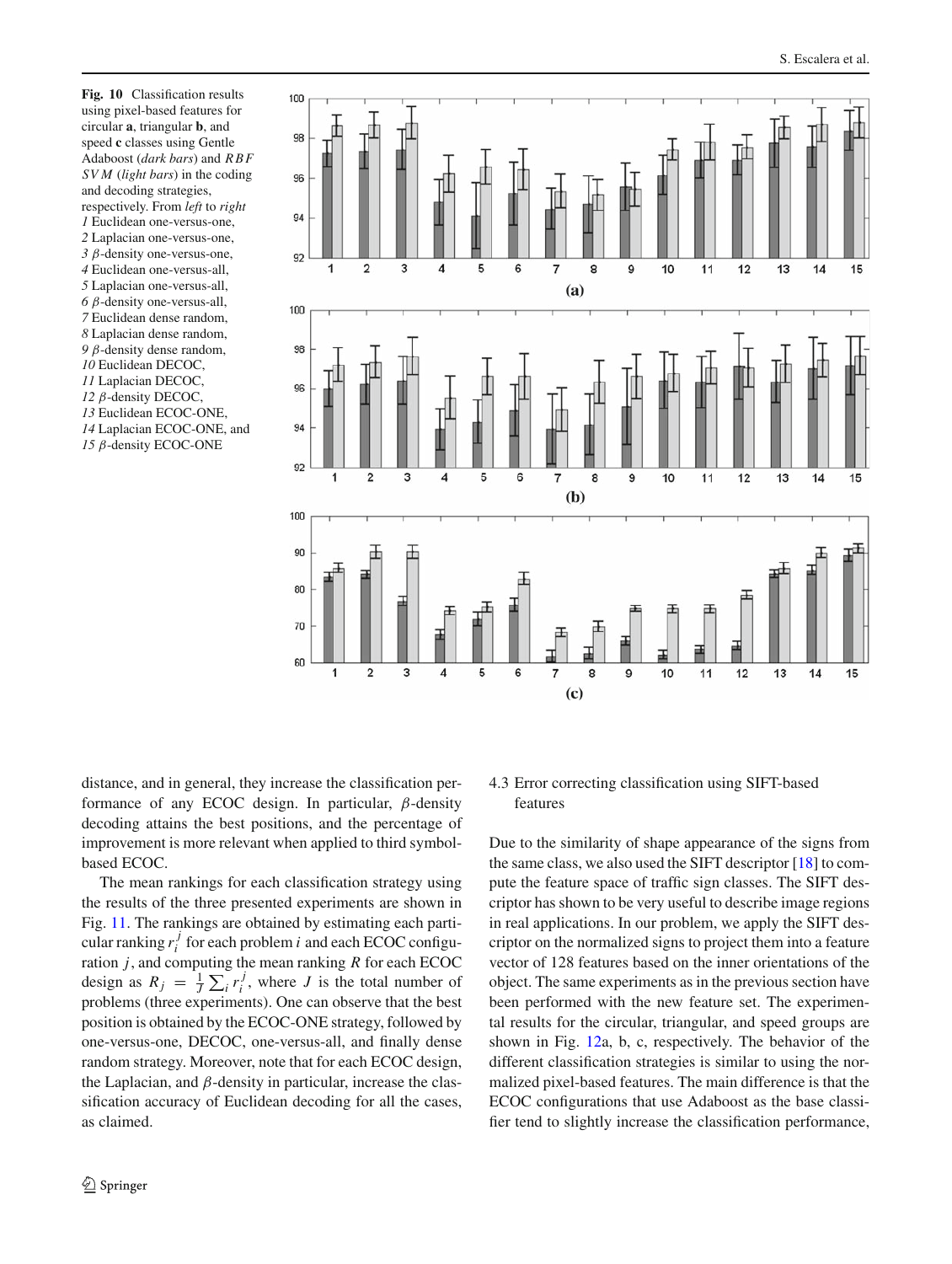<span id="page-7-0"></span>**Fig. 10** Classification results using pixel-based features for circular **a**, triangular **b**, and speed **c** classes using Gentle Adaboost (*dark bars*) and *RBF SV M* (*light bars*) in the coding and decoding strategies, respectively. From *left* to *right* Euclidean one-versus-one, Laplacian one-versus-one, β-density one-versus-one, Euclidean one-versus-all, Laplacian one-versus-all, β-density one-versus-all, Euclidean dense random, Laplacian dense random, β-density dense random, Euclidean DECOC, Laplacian DECOC, β-density DECOC, Euclidean ECOC-ONE, Laplacian ECOC-ONE, and β-density ECOC-ONE



distance, and in general, they increase the classification performance of any ECOC design. In particular,  $\beta$ -density decoding attains the best positions, and the percentage of improvement is more relevant when applied to third symbolbased ECOC.

The mean rankings for each classification strategy using the results of the three presented experiments are shown in Fig. [11.](#page-8-0) The rankings are obtained by estimating each particular ranking  $r_i^j$  for each problem *i* and each ECOC configuration *j*, and computing the mean ranking *R* for each ECOC design as  $R_j = \frac{1}{J} \sum_i r_i^j$ , where *J* is the total number of problems (three experiments). One can observe that the best position is obtained by the ECOC-ONE strategy, followed by one-versus-one, DECOC, one-versus-all, and finally dense random strategy. Moreover, note that for each ECOC design, the Laplacian, and  $\beta$ -density in particular, increase the classification accuracy of Euclidean decoding for all the cases, as claimed.

# 4.3 Error correcting classification using SIFT-based features

Due to the similarity of shape appearance of the signs from the same class, we also used the SIFT descriptor [\[18](#page-11-18)] to compute the feature space of traffic sign classes. The SIFT descriptor has shown to be very useful to describe image regions in real applications. In our problem, we apply the SIFT descriptor on the normalized signs to project them into a feature vector of 128 features based on the inner orientations of the object. The same experiments as in the previous section have been performed with the new feature set. The experimental results for the circular, triangular, and speed groups are shown in Fig. [12a](#page-8-1), b, c, respectively. The behavior of the different classification strategies is similar to using the normalized pixel-based features. The main difference is that the ECOC configurations that use Adaboost as the base classifier tend to slightly increase the classification performance,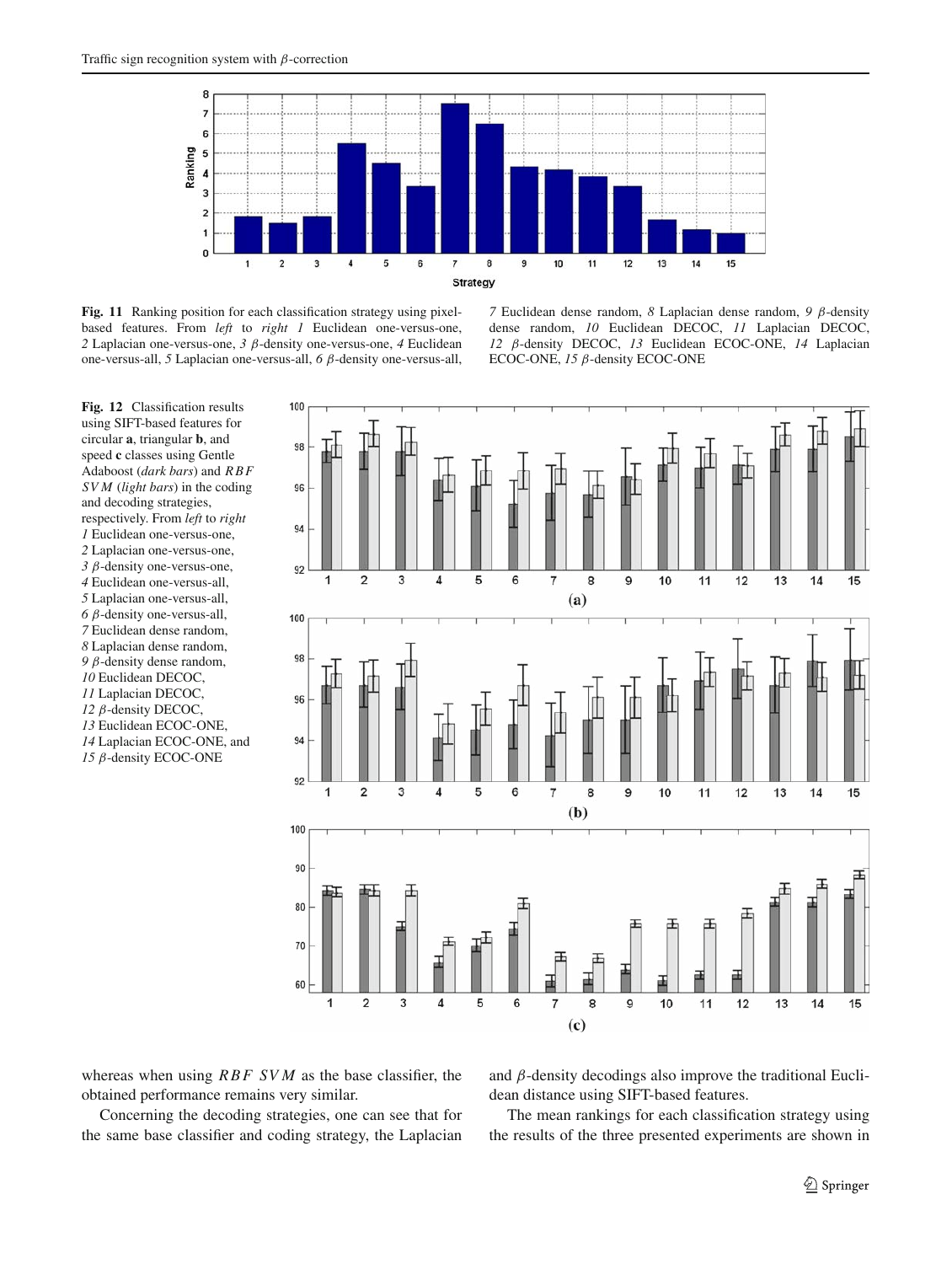

<span id="page-8-0"></span>**Fig. 11** Ranking position for each classification strategy using pixelbased features. From *left* to *right 1* Euclidean one-versus-one, *2* Laplacian one-versus-one, *3* β-density one-versus-one, *4* Euclidean one-versus-all, *5* Laplacian one-versus-all, *6* β-density one-versus-all,

*7* Euclidean dense random, *8* Laplacian dense random, *9* β-density dense random, *10* Euclidean DECOC, *11* Laplacian DECOC, *12* β-density DECOC, *13* Euclidean ECOC-ONE, *14* Laplacian ECOC-ONE, *15* β-density ECOC-ONE

<span id="page-8-1"></span>**Fig. 12** Classification results using SIFT-based features for circular **a**, triangular **b**, and speed **c** classes using Gentle Adaboost (*dark bars*) and *RBF SV M* (*light bars*) in the coding and decoding strategies, respectively. From *left* to *right* Euclidean one-versus-one, Laplacian one-versus-one, β-density one-versus-one, Euclidean one-versus-all, Laplacian one-versus-all, β-density one-versus-all, Euclidean dense random, Laplacian dense random, β-density dense random, Euclidean DECOC, Laplacian DECOC, β-density DECOC, Euclidean ECOC-ONE, Laplacian ECOC-ONE, and β-density ECOC-ONE



whereas when using *RBF SV M* as the base classifier, the obtained performance remains very similar.

Concerning the decoding strategies, one can see that for the same base classifier and coding strategy, the Laplacian

and  $\beta$ -density decodings also improve the traditional Euclidean distance using SIFT-based features.

The mean rankings for each classification strategy using the results of the three presented experiments are shown in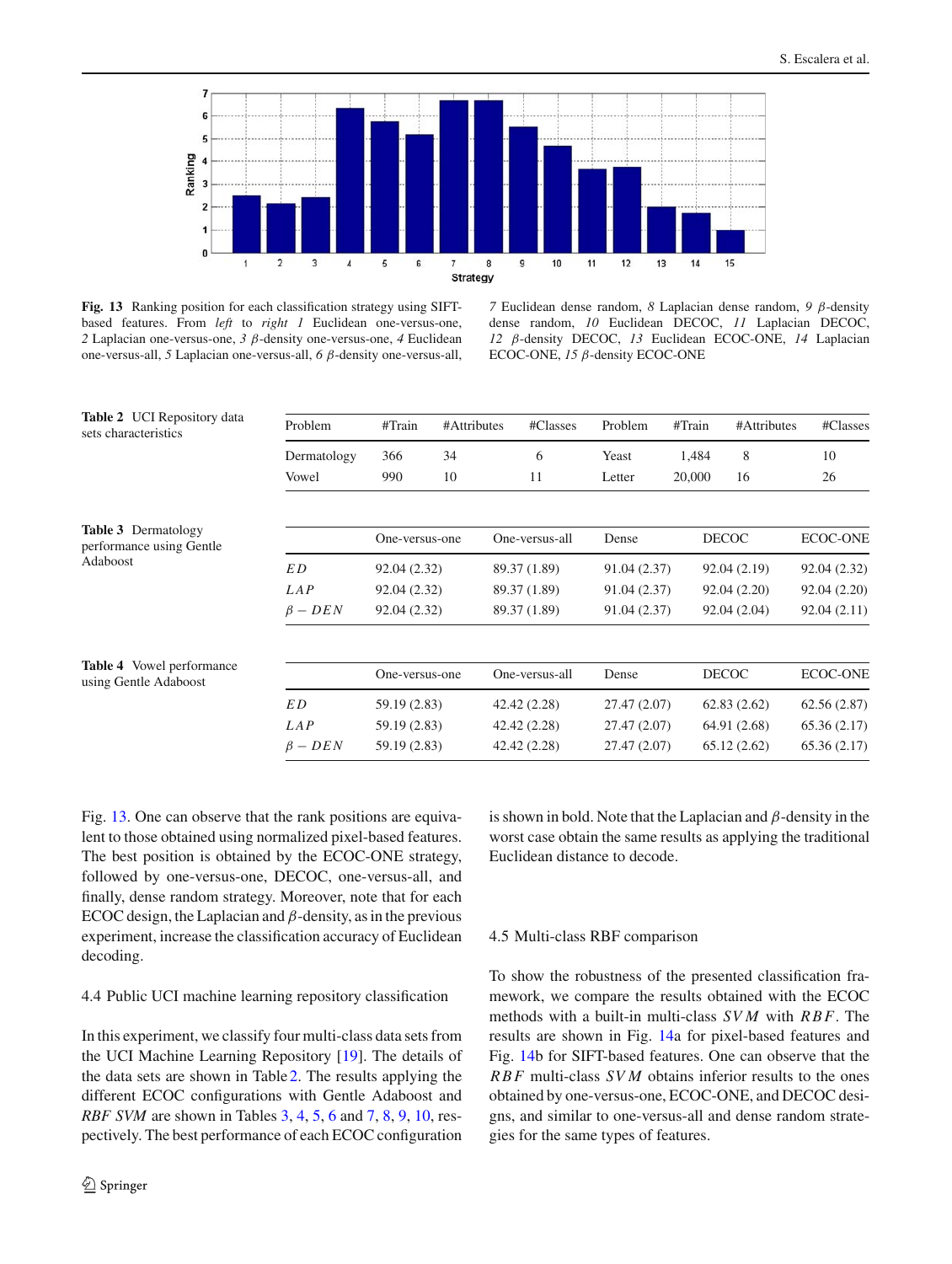

<span id="page-9-0"></span>**Fig. 13** Ranking position for each classification strategy using SIFTbased features. From *left* to *right 1* Euclidean one-versus-one, *2* Laplacian one-versus-one, *3* β-density one-versus-one, *4* Euclidean one-versus-all, *5* Laplacian one-versus-all, *6* β-density one-versus-all,

*7* Euclidean dense random, *8* Laplacian dense random, *9* β-density dense random, *10* Euclidean DECOC, *11* Laplacian DECOC, *12* β-density DECOC, *13* Euclidean ECOC-ONE, *14* Laplacian ECOC-ONE, *15* β-density ECOC-ONE

<span id="page-9-2"></span><span id="page-9-1"></span>

| <b>Table 2</b> UCI Repository data<br>sets characteristics         | Problem       | #Train         | #Attributes | #Classes       | Problem      | #Train | #Attributes  | #Classes        |
|--------------------------------------------------------------------|---------------|----------------|-------------|----------------|--------------|--------|--------------|-----------------|
|                                                                    | Dermatology   | 366            | 34          | 6              | Yeast        | 1,484  | 8            | 10              |
|                                                                    | Vowel         | 990            | 10          | 11             | Letter       | 20,000 | 16           | 26              |
| <b>Table 3</b> Dermatology<br>performance using Gentle<br>Adaboost |               | One-versus-one |             | One-versus-all | Dense        |        | <b>DECOC</b> | <b>ECOC-ONE</b> |
|                                                                    | E D           | 92.04 (2.32)   |             | 89.37 (1.89)   | 91.04 (2.37) |        | 92.04 (2.19) | 92.04 (2.32)    |
|                                                                    | LAP           | 92.04 (2.32)   |             | 89.37 (1.89)   | 91.04 (2.37) |        | 92.04(2.20)  | 92.04 (2.20)    |
|                                                                    | $\beta - DEN$ | 92.04 (2.32)   |             | 89.37 (1.89)   | 91.04 (2.37) |        | 92.04 (2.04) | 92.04(2.11)     |
| <b>Table 4</b> Vowel performance<br>using Gentle Adaboost          |               | One-versus-one |             | One-versus-all | Dense        |        | <b>DECOC</b> | <b>ECOC-ONE</b> |
|                                                                    | E D           | 59.19 (2.83)   |             | 42.42 (2.28)   | 27.47 (2.07) |        | 62.83(2.62)  | 62.56(2.87)     |
|                                                                    | LAP           | 59.19 (2.83)   |             | 42.42 (2.28)   | 27.47 (2.07) |        | 64.91 (2.68) | 65.36(2.17)     |
|                                                                    | $\beta - DEN$ | 59.19 (2.83)   |             | 42.42 (2.28)   | 27.47 (2.07) |        | 65.12(2.62)  | 65.36(2.17)     |

<span id="page-9-3"></span>Fig. [13.](#page-9-0) One can observe that the rank positions are equivalent to those obtained using normalized pixel-based features. The best position is obtained by the ECOC-ONE strategy, followed by one-versus-one, DECOC, one-versus-all, and finally, dense random strategy. Moreover, note that for each ECOC design, the Laplacian and  $\beta$ -density, as in the previous experiment, increase the classification accuracy of Euclidean decoding.

## 4.4 Public UCI machine learning repository classification

In this experiment, we classify four multi-class data sets from the UCI Machine Learning Repository [\[19](#page-11-19)]. The details of the data sets are shown in Table [2.](#page-9-1) The results applying the different ECOC configurations with Gentle Adaboost and *RBF SVM* are shown in Tables [3,](#page-9-2) [4,](#page-9-3) [5,](#page-10-0) [6](#page-10-1) and [7,](#page-10-2) [8,](#page-10-3) [9,](#page-10-4) [10,](#page-10-5) respectively. The best performance of each ECOC configuration is shown in bold. Note that the Laplacian and  $\beta$ -density in the worst case obtain the same results as applying the traditional Euclidean distance to decode.

## 4.5 Multi-class RBF comparison

To show the robustness of the presented classification framework, we compare the results obtained with the ECOC methods with a built-in multi-class *SV M* with *RBF*. The results are shown in Fig. [14a](#page-11-20) for pixel-based features and Fig. [14b](#page-11-20) for SIFT-based features. One can observe that the *RBF* multi-class *SV M* obtains inferior results to the ones obtained by one-versus-one, ECOC-ONE, and DECOC designs, and similar to one-versus-all and dense random strategies for the same types of features.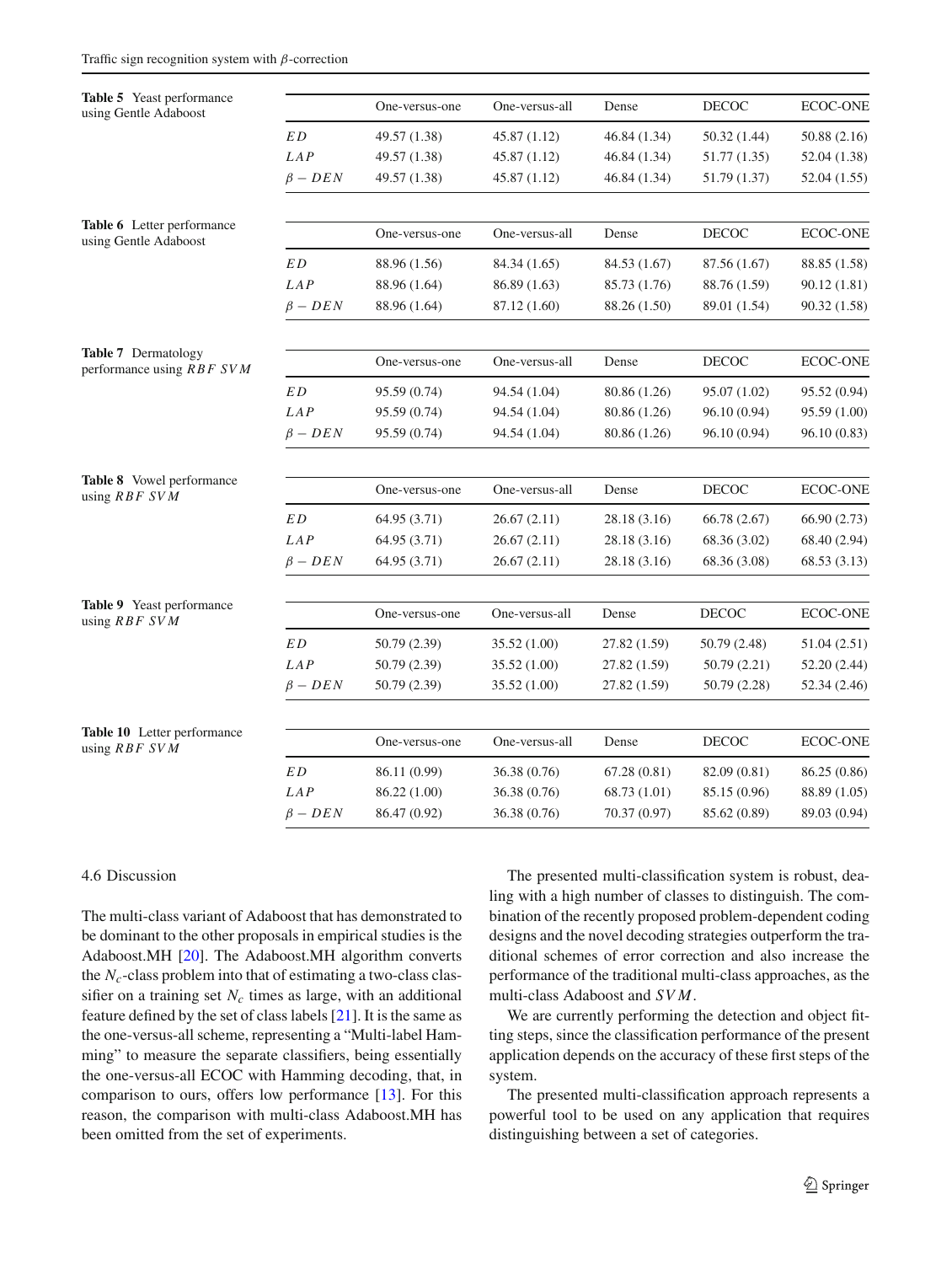<span id="page-10-2"></span><span id="page-10-1"></span><span id="page-10-0"></span>

| Table 5 Yeast performance<br>using Gentle Adaboost  |               | One-versus-one | One-versus-all | Dense        | <b>DECOC</b> | ECOC-ONE        |
|-----------------------------------------------------|---------------|----------------|----------------|--------------|--------------|-----------------|
|                                                     | $\cal ED$     | 49.57 (1.38)   | 45.87 (1.12)   | 46.84 (1.34) | 50.32 (1.44) | 50.88 (2.16)    |
|                                                     | LAP           | 49.57 (1.38)   | 45.87 (1.12)   | 46.84 (1.34) | 51.77 (1.35) | 52.04 (1.38)    |
|                                                     | $\beta - DEN$ | 49.57 (1.38)   | 45.87 (1.12)   | 46.84 (1.34) | 51.79 (1.37) | 52.04 (1.55)    |
| Table 6 Letter performance<br>using Gentle Adaboost |               | One-versus-one | One-versus-all | Dense        | <b>DECOC</b> | ECOC-ONE        |
|                                                     | ED            | 88.96 (1.56)   | 84.34 (1.65)   | 84.53 (1.67) | 87.56 (1.67) | 88.85 (1.58)    |
|                                                     | LAP           | 88.96 (1.64)   | 86.89 (1.63)   | 85.73 (1.76) | 88.76 (1.59) | 90.12 (1.81)    |
|                                                     | $\beta$ – DEN | 88.96 (1.64)   | 87.12 (1.60)   | 88.26 (1.50) | 89.01 (1.54) | 90.32 (1.58)    |
| Table 7 Dermatology<br>performance using RBF SVM    |               | One-versus-one | One-versus-all | Dense        | <b>DECOC</b> | <b>ECOC-ONE</b> |
|                                                     | $\cal ED$     | 95.59 (0.74)   | 94.54 (1.04)   | 80.86 (1.26) | 95.07 (1.02) | 95.52 (0.94)    |
|                                                     | LAP           | 95.59 (0.74)   | 94.54 (1.04)   | 80.86 (1.26) | 96.10 (0.94) | 95.59 (1.00)    |
|                                                     | $\beta - DEN$ | 95.59 (0.74)   | 94.54 (1.04)   | 80.86 (1.26) | 96.10 (0.94) | 96.10(0.83)     |
| Table 8 Vowel performance                           |               | One-versus-one | One-versus-all | Dense        | <b>DECOC</b> | ECOC-ONE        |
| using RBF SVM                                       |               |                |                |              |              |                 |
|                                                     | $\cal ED$     | 64.95 (3.71)   | 26.67(2.11)    | 28.18 (3.16) | 66.78 (2.67) | 66.90 (2.73)    |
|                                                     | LAP           | 64.95 (3.71)   | 26.67(2.11)    | 28.18 (3.16) | 68.36 (3.02) | 68.40 (2.94)    |
|                                                     | $\beta - DEN$ | 64.95 (3.71)   | 26.67(2.11)    | 28.18 (3.16) | 68.36 (3.08) | 68.53 (3.13)    |
| Table 9 Yeast performance<br>using RBF SVM          |               | One-versus-one | One-versus-all | Dense        | DECOC        | <b>ECOC-ONE</b> |
|                                                     | ED            | 50.79 (2.39)   | 35.52 (1.00)   | 27.82 (1.59) | 50.79 (2.48) | 51.04 (2.51)    |
|                                                     | LAP           | 50.79 (2.39)   | 35.52 (1.00)   | 27.82 (1.59) | 50.79(2.21)  | 52.20 (2.44)    |
|                                                     | $\beta - DEN$ | 50.79 (2.39)   | 35.52 (1.00)   | 27.82 (1.59) | 50.79 (2.28) | 52.34 (2.46)    |
| Table 10 Letter performance<br>using RBF SVM        |               | One-versus-one | One-versus-all | Dense        | <b>DECOC</b> | <b>ECOC-ONE</b> |
|                                                     | $\cal ED$     | 86.11 (0.99)   | 36.38 (0.76)   | 67.28(0.81)  | 82.09 (0.81) | 86.25 (0.86)    |
|                                                     | LAP           | 86.22 (1.00)   | 36.38 (0.76)   | 68.73 (1.01) | 85.15 (0.96) | 88.89 (1.05)    |
|                                                     | $\beta - DEN$ | 86.47 (0.92)   | 36.38 (0.76)   | 70.37 (0.97) | 85.62 (0.89) | 89.03 (0.94)    |

#### <span id="page-10-5"></span><span id="page-10-4"></span><span id="page-10-3"></span>4.6 Discussion

The multi-class variant of Adaboost that has demonstrated to be dominant to the other proposals in empirical studies is the Adaboost.MH [\[20\]](#page-11-21). The Adaboost.MH algorithm converts the  $N_c$ -class problem into that of estimating a two-class classifier on a training set  $N_c$  times as large, with an additional feature defined by the set of class labels [\[21](#page-11-22)]. It is the same as the one-versus-all scheme, representing a "Multi-label Hamming" to measure the separate classifiers, being essentially the one-versus-all ECOC with Hamming decoding, that, in comparison to ours, offers low performance [\[13](#page-11-13)]. For this reason, the comparison with multi-class Adaboost.MH has been omitted from the set of experiments.

The presented multi-classification system is robust, dealing with a high number of classes to distinguish. The combination of the recently proposed problem-dependent coding designs and the novel decoding strategies outperform the traditional schemes of error correction and also increase the performance of the traditional multi-class approaches, as the multi-class Adaboost and *SV M*.

We are currently performing the detection and object fitting steps, since the classification performance of the present application depends on the accuracy of these first steps of the system.

The presented multi-classification approach represents a powerful tool to be used on any application that requires distinguishing between a set of categories.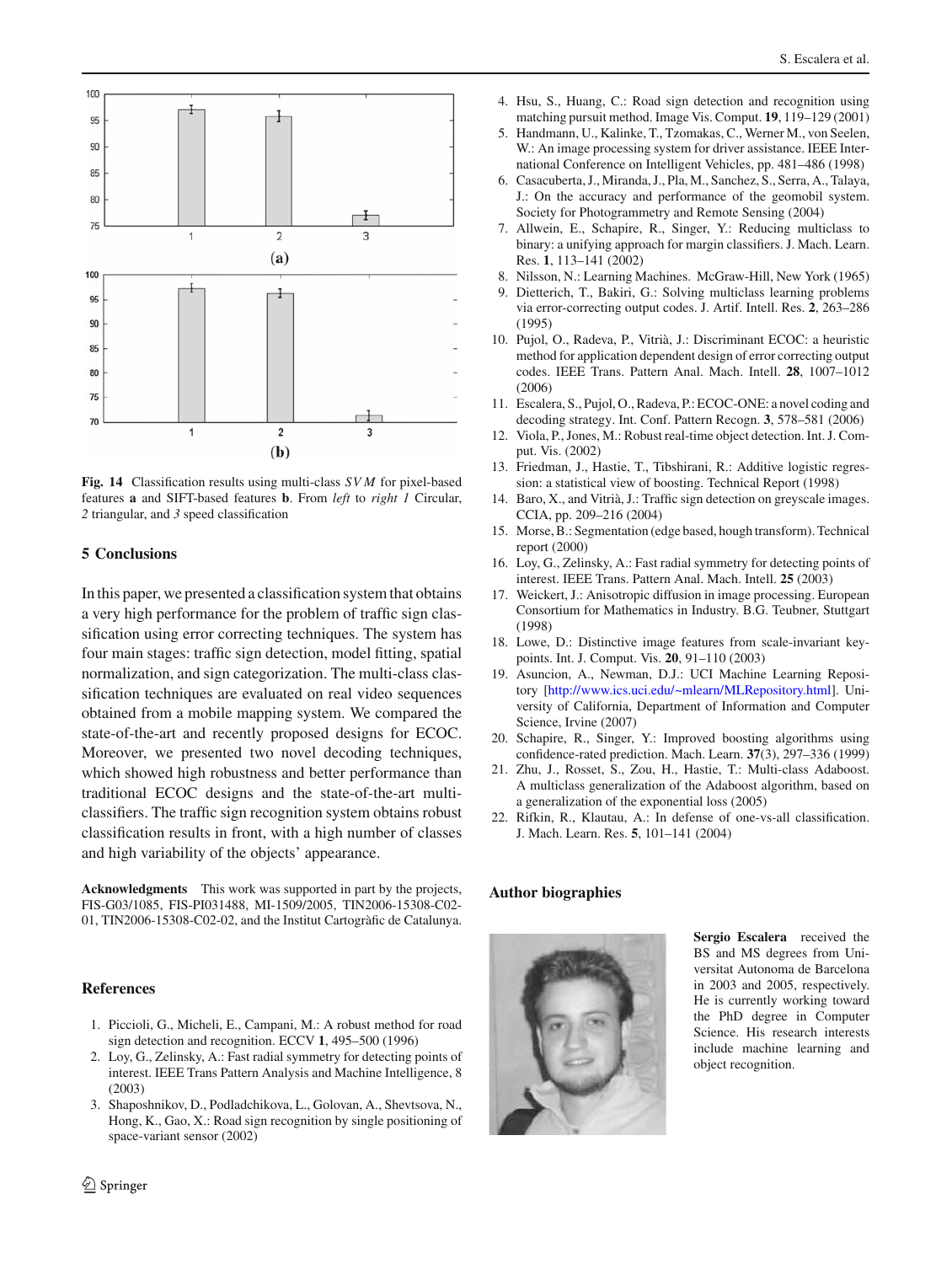

<span id="page-11-20"></span>**Fig. 14** Classification results using multi-class *SV M* for pixel-based features **a** and SIFT-based features **b**. From *left* to *right 1* Circular, *2* triangular, and *3* speed classification

#### <span id="page-11-12"></span>**5 Conclusions**

In this paper, we presented a classification system that obtains a very high performance for the problem of traffic sign classification using error correcting techniques. The system has four main stages: traffic sign detection, model fitting, spatial normalization, and sign categorization. The multi-class classification techniques are evaluated on real video sequences obtained from a mobile mapping system. We compared the state-of-the-art and recently proposed designs for ECOC. Moreover, we presented two novel decoding techniques, which showed high robustness and better performance than traditional ECOC designs and the state-of-the-art multiclassifiers. The traffic sign recognition system obtains robust classification results in front, with a high number of classes and high variability of the objects' appearance.

**Acknowledgments** This work was supported in part by the projects, FIS-G03/1085, FIS-PI031488, MI-1509/2005, TIN2006-15308-C02- 01, TIN2006-15308-C02-02, and the Institut Cartogràfic de Catalunya.

## <span id="page-11-0"></span>**References**

- 1. Piccioli, G., Micheli, E., Campani, M.: A robust method for road sign detection and recognition. ECCV **1**, 495–500 (1996)
- <span id="page-11-1"></span>2. Loy, G., Zelinsky, A.: Fast radial symmetry for detecting points of interest. IEEE Trans Pattern Analysis and Machine Intelligence, 8 (2003)
- <span id="page-11-2"></span>3. Shaposhnikov, D., Podladchikova, L., Golovan, A., Shevtsova, N., Hong, K., Gao, X.: Road sign recognition by single positioning of space-variant sensor (2002)
- <span id="page-11-3"></span>4. Hsu, S., Huang, C.: Road sign detection and recognition using matching pursuit method. Image Vis. Comput. **19**, 119–129 (2001)
- <span id="page-11-4"></span>5. Handmann, U., Kalinke, T., Tzomakas, C., Werner M., von Seelen, W.: An image processing system for driver assistance. IEEE International Conference on Intelligent Vehicles, pp. 481–486 (1998)
- <span id="page-11-5"></span>6. Casacuberta, J., Miranda, J., Pla, M., Sanchez, S., Serra, A., Talaya, J.: On the accuracy and performance of the geomobil system. Society for Photogrammetry and Remote Sensing (2004)
- <span id="page-11-6"></span>7. Allwein, E., Schapire, R., Singer, Y.: Reducing multiclass to binary: a unifying approach for margin classifiers. J. Mach. Learn. Res. **1**, 113–141 (2002)
- 8. Nilsson, N.: Learning Machines. McGraw-Hill, New York (1965)
- <span id="page-11-8"></span><span id="page-11-7"></span>9. Dietterich, T., Bakiri, G.: Solving multiclass learning problems via error-correcting output codes. J. Artif. Intell. Res. **2**, 263–286 (1995)
- <span id="page-11-9"></span>10. Pujol, O., Radeva, P., Vitrià, J.: Discriminant ECOC: a heuristic method for application dependent design of error correcting output codes. IEEE Trans. Pattern Anal. Mach. Intell. **28**, 1007–1012 (2006)
- <span id="page-11-10"></span>11. Escalera, S., Pujol, O., Radeva, P.: ECOC-ONE: a novel coding and decoding strategy. Int. Conf. Pattern Recogn. **3**, 578–581 (2006)
- <span id="page-11-11"></span>12. Viola, P., Jones, M.: Robust real-time object detection. Int. J. Comput. Vis. (2002)
- <span id="page-11-13"></span>13. Friedman, J., Hastie, T., Tibshirani, R.: Additive logistic regression: a statistical view of boosting. Technical Report (1998)
- <span id="page-11-14"></span>14. Baro, X., and Vitrià, J.: Traffic sign detection on greyscale images. CCIA, pp. 209–216 (2004)
- <span id="page-11-15"></span>15. Morse, B.: Segmentation (edge based, hough transform). Technical report (2000)
- <span id="page-11-16"></span>16. Loy, G., Zelinsky, A.: Fast radial symmetry for detecting points of interest. IEEE Trans. Pattern Anal. Mach. Intell. **25** (2003)
- <span id="page-11-17"></span>17. Weickert, J.: Anisotropic diffusion in image processing. European Consortium for Mathematics in Industry. B.G. Teubner, Stuttgart (1998)
- <span id="page-11-18"></span>18. Lowe, D.: Distinctive image features from scale-invariant keypoints. Int. J. Comput. Vis. **20**, 91–110 (2003)
- <span id="page-11-19"></span>19. Asuncion, A., Newman, D.J.: UCI Machine Learning Repository [\[http://www.ics.uci.edu/~mlearn/MLRepository.html\]](http://www.ics.uci.edu/~mlearn/MLRepository.html). University of California, Department of Information and Computer Science, Irvine (2007)
- <span id="page-11-21"></span>20. Schapire, R., Singer, Y.: Improved boosting algorithms using confidence-rated prediction. Mach. Learn. **37**(3), 297–336 (1999)
- <span id="page-11-22"></span>21. Zhu, J., Rosset, S., Zou, H., Hastie, T.: Multi-class Adaboost. A multiclass generalization of the Adaboost algorithm, based on a generalization of the exponential loss (2005)
- 22. Rifkin, R., Klautau, A.: In defense of one-vs-all classification. J. Mach. Learn. Res. **5**, 101–141 (2004)

#### **Author biographies**



**Sergio Escalera** received the BS and MS degrees from Universitat Autonoma de Barcelona in 2003 and 2005, respectively. He is currently working toward the PhD degree in Computer Science. His research interests include machine learning and object recognition.